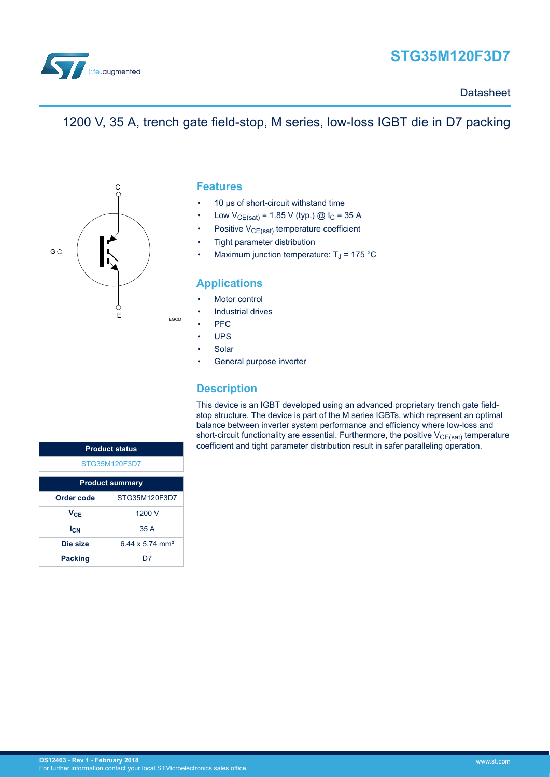

# **STG35M120F3D7**

**Datasheet** 

## 1200 V, 35 A, trench gate field-stop, M series, low-loss IGBT die in D7 packing



### **Features**

- 10 μs of short-circuit withstand time
- Low  $V_{CE(sat)} = 1.85 V$  (typ.) @  $I_C = 35 A$
- Positive V<sub>CE(sat)</sub> temperature coefficient
- Tight parameter distribution
- Maximum junction temperature:  $T_J$  = 175 °C

## **Applications**

- Motor control
- Industrial drives
- PFC

EGCD

- UPS
- **Solar**
- General purpose inverter

### **Description**

This device is an IGBT developed using an advanced proprietary trench gate fieldstop structure. The device is part of the M series IGBTs, which represent an optimal balance between inverter system performance and efficiency where low-loss and short-circuit functionality are essential. Furthermore, the positive  $V_{CE(sat)}$  temperature coefficient and tight parameter distribution result in safer paralleling operation.

| <b>Product status</b>  |                             |  |  |
|------------------------|-----------------------------|--|--|
| STG35M120F3D7          |                             |  |  |
| <b>Product summary</b> |                             |  |  |
| Order code             | STG35M120F3D7               |  |  |
| Vc⊨                    | 1200 V                      |  |  |
| $I_{\text{CN}}$        | 35A                         |  |  |
| Die size               | 6.44 x 5.74 mm <sup>2</sup> |  |  |
| <b>Packing</b>         |                             |  |  |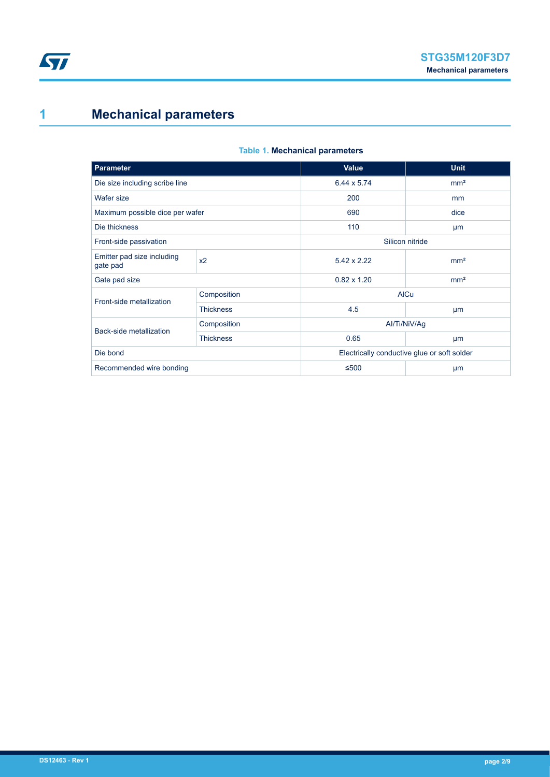# <span id="page-1-0"></span>**1 Mechanical parameters**

#### **Table 1. Mechanical parameters**

| <b>Parameter</b>                          |                  | <b>Value</b>                                | <b>Unit</b>     |  |
|-------------------------------------------|------------------|---------------------------------------------|-----------------|--|
| Die size including scribe line            |                  | 6.44 x 5.74                                 | mm <sup>2</sup> |  |
| Wafer size                                |                  | 200                                         | mm              |  |
| Maximum possible dice per wafer           |                  | 690                                         | dice            |  |
| Die thickness                             |                  | 110                                         | µm              |  |
| Silicon nitride<br>Front-side passivation |                  |                                             |                 |  |
| Emitter pad size including<br>gate pad    | x <sub>2</sub>   | $5.42 \times 2.22$                          | mm <sup>2</sup> |  |
| Gate pad size                             |                  | $0.82 \times 1.20$                          | mm <sup>2</sup> |  |
| Front-side metallization                  | Composition      | <b>AICu</b>                                 |                 |  |
|                                           | <b>Thickness</b> | 4.5                                         | μm              |  |
| Back-side metallization                   | Composition      |                                             | Al/Ti/NiV/Aq    |  |
|                                           | <b>Thickness</b> | 0.65                                        | μm              |  |
| Die bond                                  |                  | Electrically conductive glue or soft solder |                 |  |
| Recommended wire bonding                  |                  | $≤500$                                      | μm              |  |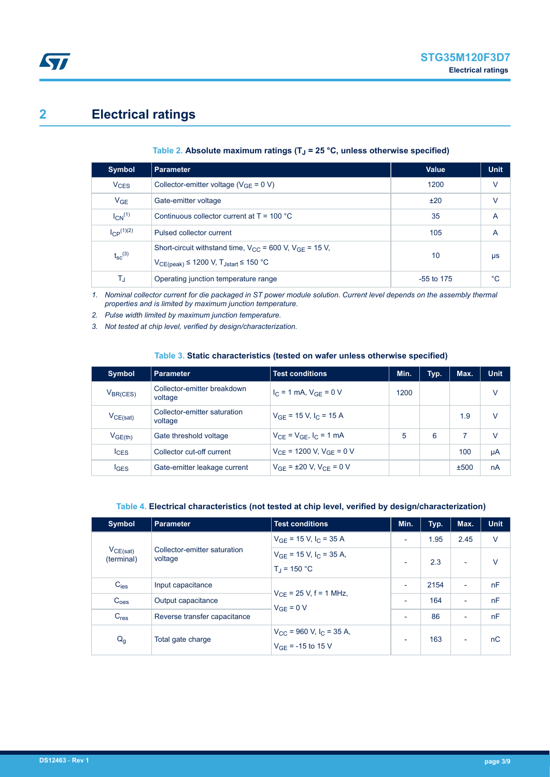# **2 Electrical ratings**

<span id="page-2-0"></span>**ST** 

#### **Table 2. Absolute maximum ratings (TJ = 25 °C, unless otherwise specified)**

| Symbol                  | <b>Parameter</b>                                                                                                          | <b>Value</b> | <b>Unit</b> |
|-------------------------|---------------------------------------------------------------------------------------------------------------------------|--------------|-------------|
| <b>V<sub>CES</sub></b>  | Collector-emitter voltage ( $V_{GF} = 0 V$ )                                                                              | 1200         | $\vee$      |
| $V_{GE}$                | Gate-emitter voltage                                                                                                      | ±20          | V           |
| $I_{CN}$ <sup>(1)</sup> | Continuous collector current at $T = 100 °C$                                                                              | 35           | A           |
| $ CP^{(1)(2)} $         | Pulsed collector current                                                                                                  | 105          | A           |
| $t_{\rm sc}^{(3)}$      | Short-circuit withstand time, $V_{CC}$ = 600 V, $V_{CF}$ = 15 V,<br>$V_{CE (peak)} \leq 1200$ V, $T_{Jstart} \leq 150$ °C | 10           | μs          |
| T,                      | Operating junction temperature range                                                                                      | $-55$ to 175 | °C          |

*1. Nominal collector current for die packaged in ST power module solution. Current level depends on the assembly thermal properties and is limited by maximum junction temperature.*

*2. Pulse width limited by maximum junction temperature.*

*3. Not tested at chip level, verified by design/characterization.*

#### **Table 3. Static characteristics (tested on wafer unless otherwise specified)**

| <b>Symbol</b>    | <b>Parameter</b>                        | <b>Test conditions</b>            | Min. | Typ. | Max. | <b>Unit</b> |
|------------------|-----------------------------------------|-----------------------------------|------|------|------|-------------|
| $V_{BR(CES)}$    | Collector-emitter breakdown<br>voltage  | $I_{C}$ = 1 mA, $V_{GF}$ = 0 V    | 1200 |      |      | ٧           |
| $V_{CE(sat)}$    | Collector-emitter saturation<br>voltage | $V_{GF}$ = 15 V, $I_C$ = 15 A     |      |      | 1.9  | V           |
| $V_{GE(th)}$     | Gate threshold voltage                  | $V_{CE} = V_{GE}$ , $I_C = 1$ mA  | 5    | 6    |      | v           |
| lc <sub>ES</sub> | Collector cut-off current               | $V_{CF}$ = 1200 V, $V_{GF}$ = 0 V |      |      | 100  | μA          |
| <b>IGES</b>      | Gate-emitter leakage current            | $V_{GF}$ = ±20 V, $V_{CF}$ = 0 V  |      |      | ±500 | nA          |

#### **Table 4. Electrical characteristics (not tested at chip level, verified by design/characterization)**

| <b>Symbol</b>                                                          | <b>Parameter</b>             | <b>Test conditions</b>                                                 | Min.                     | Typ. | Max.                     | <b>Unit</b> |
|------------------------------------------------------------------------|------------------------------|------------------------------------------------------------------------|--------------------------|------|--------------------------|-------------|
| $V_{CE(sat)}$<br>Collector-emitter saturation<br>voltage<br>(terminal) |                              | $V_{GF}$ = 15 V, $I_C$ = 35 A                                          | $\overline{\phantom{a}}$ | 1.95 | 2.45                     | $\vee$      |
|                                                                        |                              | $V_{GE}$ = 15 V, $I_C$ = 35 A,<br>$T_{\rm J}$ = 150 °C                 |                          | 2.3  | $\overline{\phantom{0}}$ | $\vee$      |
| $C_{\text{ies}}$                                                       | Input capacitance            | $V_{CF}$ = 25 V, f = 1 MHz,<br>$V_{GF} = 0 V$                          | $\overline{\phantom{a}}$ | 2154 | $\overline{\phantom{0}}$ | nF          |
| C <sub>oes</sub>                                                       | Output capacitance           |                                                                        |                          | 164  | $\overline{\phantom{0}}$ | nF          |
| $C_{res}$                                                              | Reverse transfer capacitance |                                                                        | $\overline{\phantom{0}}$ | 86   | $\overline{\phantom{0}}$ | nF          |
| $Q_g$                                                                  | Total gate charge            | $V_{\rm CC}$ = 960 V, I <sub>C</sub> = 35 A,<br>$V_{GF}$ = -15 to 15 V |                          | 163  | $\overline{\phantom{0}}$ | nC          |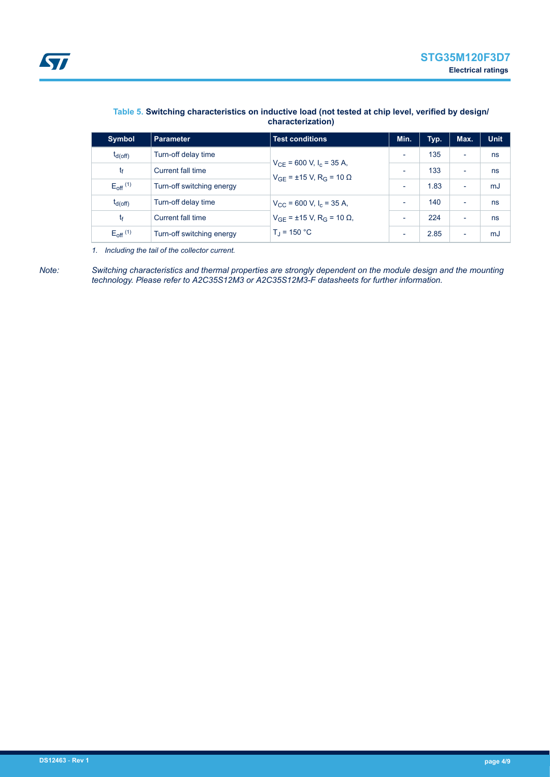

| <b>Symbol</b>                   | <b>Parameter</b>          | <b>Test conditions</b>                                                                                          | Min.                     | Typ. | Max.                     | <b>Unit</b> |
|---------------------------------|---------------------------|-----------------------------------------------------------------------------------------------------------------|--------------------------|------|--------------------------|-------------|
| $t_{d(Off)}$                    | Turn-off delay time       | $V_{CF}$ = 600 V, I <sub>c</sub> = 35 A,<br>$V_{GF}$ = ±15 V, R <sub>G</sub> = 10 Ω                             | $\overline{\phantom{0}}$ | 135  | ٠                        | ns          |
| tŧ                              | Current fall time         |                                                                                                                 | $\overline{\phantom{0}}$ | 133  | $\overline{\phantom{a}}$ | ns          |
| $E_{\text{off}}$ <sup>(1)</sup> | Turn-off switching energy |                                                                                                                 | $\overline{\phantom{0}}$ | 1.83 | $\overline{\phantom{a}}$ | mJ          |
| $t_{d(Off)}$                    | Turn-off delay time       | $V_{\text{CC}}$ = 600 V, I <sub>c</sub> = 35 A,<br>$V_{GF}$ = ±15 V, R <sub>G</sub> = 10 Ω,<br>$T_{d}$ = 150 °C |                          | 140  | $\overline{\phantom{a}}$ | ns          |
| tŧ                              | Current fall time         |                                                                                                                 | $\overline{\phantom{0}}$ | 224  | $\overline{\phantom{a}}$ | ns          |
| $E_{off}$ <sup>(1)</sup>        | Turn-off switching energy |                                                                                                                 | $\overline{\phantom{0}}$ | 2.85 | $\overline{\phantom{a}}$ | mJ          |

#### **Table 5. Switching characteristics on inductive load (not tested at chip level, verified by design/ characterization)**

*1. Including the tail of the collector current.*

*Note: Switching characteristics and thermal properties are strongly dependent on the module design and the mounting technology. Please refer to A2C35S12M3 or A2C35S12M3-F datasheets for further information.*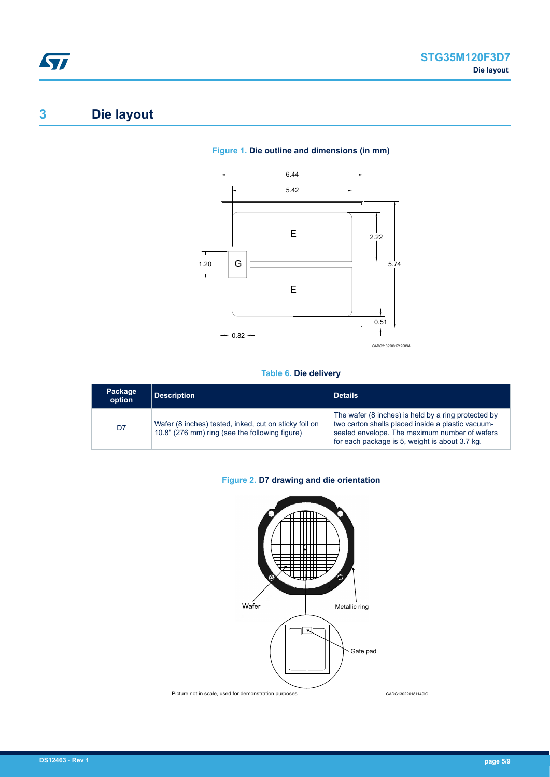# <span id="page-4-0"></span>**3 Die layout**

#### **Figure 1. Die outline and dimensions (in mm)**



#### **Table 6. Die delivery**

| Package<br>option | Description                                                                                             | <b>Details</b>                                                                                                                                                                                              |
|-------------------|---------------------------------------------------------------------------------------------------------|-------------------------------------------------------------------------------------------------------------------------------------------------------------------------------------------------------------|
| D7                | Wafer (8 inches) tested, inked, cut on sticky foil on<br>10.8" (276 mm) ring (see the following figure) | The wafer (8 inches) is held by a ring protected by<br>two carton shells placed inside a plastic vacuum-<br>sealed envelope. The maximum number of wafers<br>for each package is 5, weight is about 3.7 kg. |

### **Figure 2. D7 drawing and die orientation**

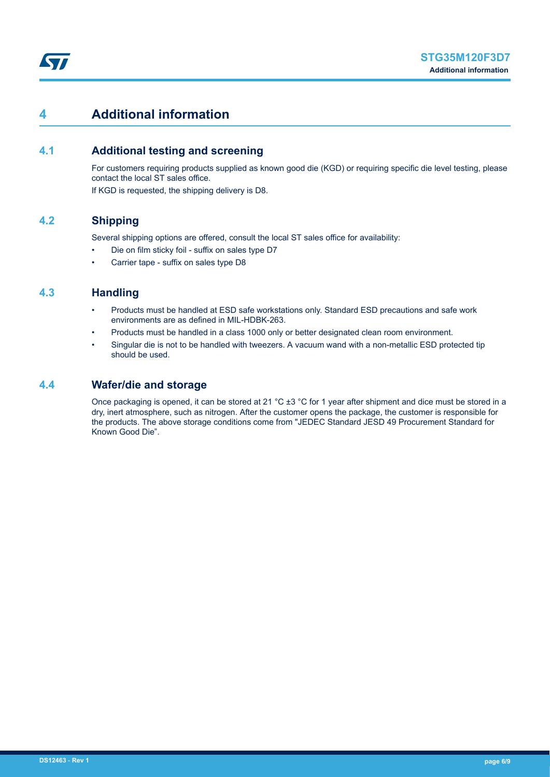## <span id="page-5-0"></span>**4 Additional information**

## **4.1 Additional testing and screening**

For customers requiring products supplied as known good die (KGD) or requiring specific die level testing, please contact the local ST sales office.

If KGD is requested, the shipping delivery is D8.

## **4.2 Shipping**

Several shipping options are offered, consult the local ST sales office for availability:

- Die on film sticky foil suffix on sales type D7
- Carrier tape suffix on sales type D8

### **4.3 Handling**

- Products must be handled at ESD safe workstations only. Standard ESD precautions and safe work environments are as defined in MIL-HDBK-263.
- Products must be handled in a class 1000 only or better designated clean room environment.
- Singular die is not to be handled with tweezers. A vacuum wand with a non-metallic ESD protected tip should be used.

### **4.4 Wafer/die and storage**

Once packaging is opened, it can be stored at 21 °C  $\pm 3$  °C for 1 year after shipment and dice must be stored in a dry, inert atmosphere, such as nitrogen. After the customer opens the package, the customer is responsible for the products. The above storage conditions come from "JEDEC Standard JESD 49 Procurement Standard for Known Good Die".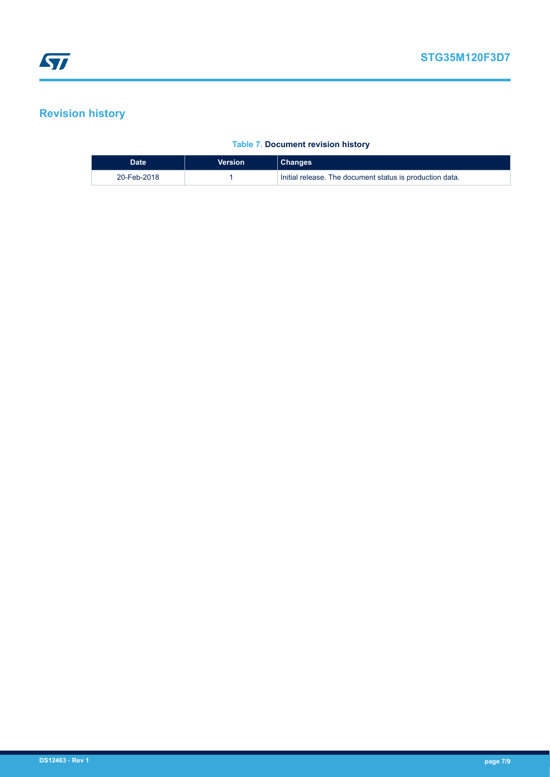## <span id="page-6-0"></span>**Revision history**

#### **Table 7. Document revision history**

| <b>Date</b> | Version | <b>Changes</b>                                           |
|-------------|---------|----------------------------------------------------------|
| 20-Feb-2018 |         | Initial release. The document status is production data. |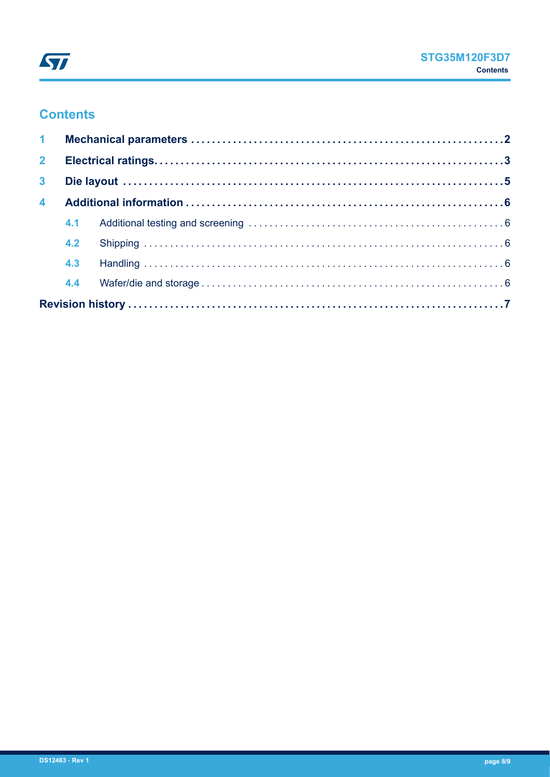

## **Contents**

| 2 <sup>7</sup> |     |  |
|----------------|-----|--|
| 3 <sup>7</sup> |     |  |
| $\overline{4}$ |     |  |
|                |     |  |
|                | 4.2 |  |
|                | 4.3 |  |
|                | 4.4 |  |
|                |     |  |